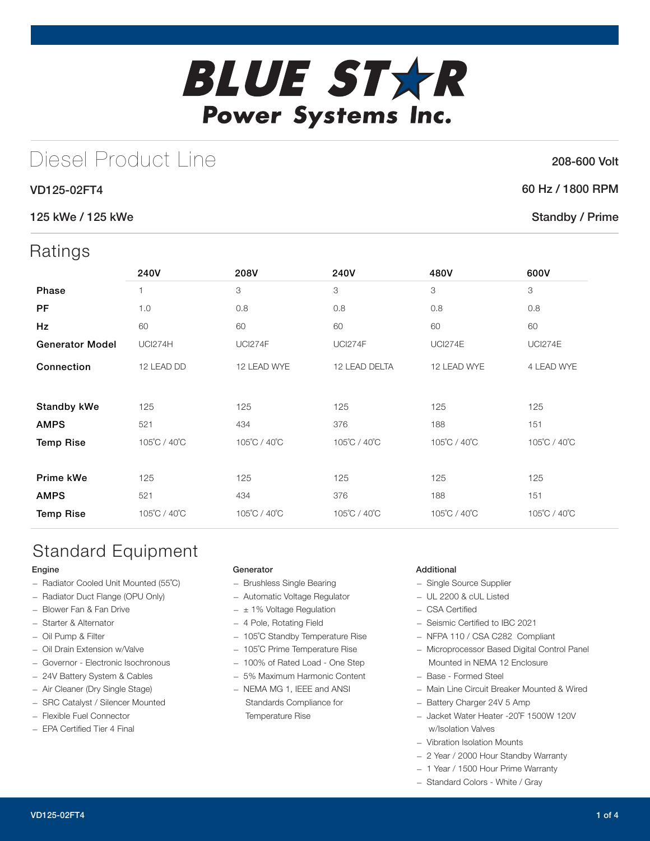# **BLUE STXR** Power Systems Inc.

## Diesel Product Line

#### VD125-02FT4

#### 125 kWe / 125 kWe

### **Ratings**

| 10.011190              |                |                |                |                |                |
|------------------------|----------------|----------------|----------------|----------------|----------------|
|                        | 240V           | 208V           | 240V           | 480V           | 600V           |
| <b>Phase</b>           |                | 3              | 3              | 3              | 3              |
| PF                     | 1.0            | 0.8            | 0.8            | 0.8            | 0.8            |
| Hz                     | 60             | 60             | 60             | 60             | 60             |
| <b>Generator Model</b> | <b>UCI274H</b> | <b>UCI274F</b> | <b>UCI274F</b> | <b>UCI274E</b> | <b>UCI274E</b> |
| Connection             | 12 LEAD DD     | 12 LEAD WYE    | 12 LEAD DELTA  | 12 LEAD WYE    | 4 LEAD WYE     |
|                        |                |                |                |                |                |
| Standby kWe            | 125            | 125            | 125            | 125            | 125            |
| <b>AMPS</b>            | 521            | 434            | 376            | 188            | 151            |
| <b>Temp Rise</b>       | 105°C / 40°C   | 105°C / 40°C   | 105°C / 40°C   | 105°C / 40°C   | 105°C / 40°C   |
|                        |                |                |                |                |                |
| Prime kWe              | 125            | 125            | 125            | 125            | 125            |
| <b>AMPS</b>            | 521            | 434            | 376            | 188            | 151            |
| <b>Temp Rise</b>       | 105°C / 40°C   | 105°C / 40°C   | 105°C / 40°C   | 105°C / 40°C   | 105°C / 40°C   |
|                        |                |                |                |                |                |

## Standard Equipment

#### Engine

- Radiator Cooled Unit Mounted (55˚C)
- Radiator Duct Flange (OPU Only)
- Blower Fan & Fan Drive
- Starter & Alternator
- Oil Pump & Filter
- Oil Drain Extension w/Valve
- Governor Electronic Isochronous
- 24V Battery System & Cables
- Air Cleaner (Dry Single Stage)
- SRC Catalyst / Silencer Mounted
- Flexible Fuel Connector
- EPA Certified Tier 4 Final

#### Generator

- Brushless Single Bearing
- Automatic Voltage Regulator
- $\pm$  1% Voltage Regulation
- 4 Pole, Rotating Field
- 105˚C Standby Temperature Rise
- 105˚C Prime Temperature Rise
- 100% of Rated Load One Step
- 5% Maximum Harmonic Content
- NEMA MG 1, IEEE and ANSI Standards Compliance for Temperature Rise

#### Additional

- Single Source Supplier
- UL 2200 & cUL Listed
- CSA Certified
- Seismic Certified to IBC 2021
- NFPA 110 / CSA C282 Compliant
- Microprocessor Based Digital Control Panel Mounted in NEMA 12 Enclosure
- Base Formed Steel
- Main Line Circuit Breaker Mounted & Wired
- Battery Charger 24V 5 Amp
- Jacket Water Heater -20˚F 1500W 120V w/Isolation Valves
- Vibration Isolation Mounts
- 2 Year / 2000 Hour Standby Warranty
- 1 Year / 1500 Hour Prime Warranty
- Standard Colors White / Gray

#### 208-600 Volt

#### 60 Hz / 1800 RPM

#### Standby / Prime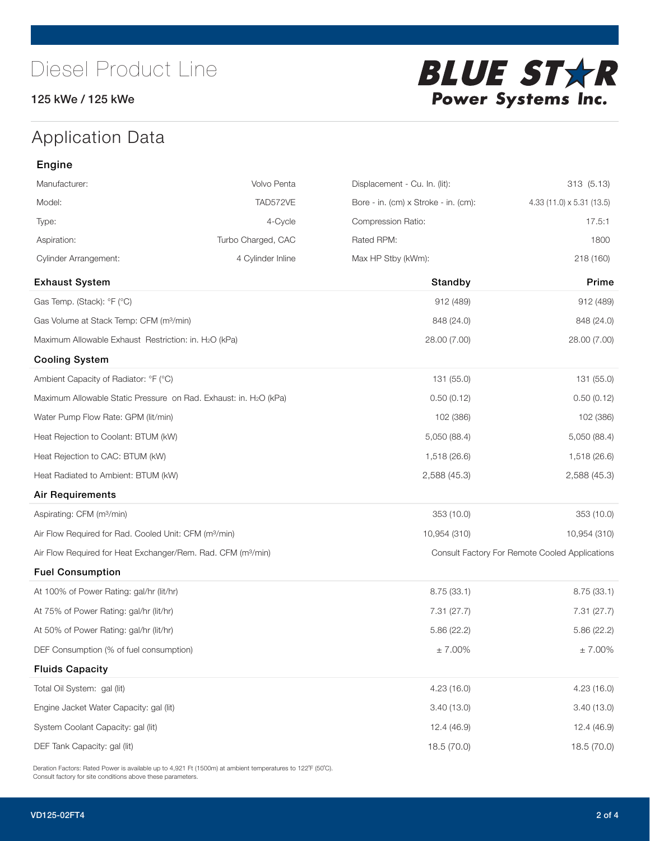#### 125 kWe / 125 kWe



## Application Data

| Engine                                                                        |                    |                                      |                                                |
|-------------------------------------------------------------------------------|--------------------|--------------------------------------|------------------------------------------------|
| Manufacturer:                                                                 | Volvo Penta        | Displacement - Cu. In. (lit):        | 313 (5.13)                                     |
| Model:                                                                        | TAD572VE           | Bore - in. (cm) x Stroke - in. (cm): | 4.33 (11.0) x 5.31 (13.5)                      |
| Type:                                                                         | 4-Cycle            | Compression Ratio:                   | 17.5:1                                         |
| Aspiration:                                                                   | Turbo Charged, CAC | Rated RPM:                           | 1800                                           |
| <b>Cylinder Arrangement:</b>                                                  | 4 Cylinder Inline  | Max HP Stby (kWm):                   | 218 (160)                                      |
| <b>Exhaust System</b>                                                         |                    | Standby                              | Prime                                          |
| Gas Temp. (Stack): °F (°C)                                                    |                    | 912 (489)                            | 912 (489)                                      |
| Gas Volume at Stack Temp: CFM (m <sup>3</sup> /min)                           |                    | 848 (24.0)                           | 848 (24.0)                                     |
| Maximum Allowable Exhaust Restriction: in. H2O (kPa)                          |                    | 28.00 (7.00)                         | 28.00 (7.00)                                   |
| <b>Cooling System</b>                                                         |                    |                                      |                                                |
| Ambient Capacity of Radiator: °F (°C)                                         |                    | 131 (55.0)                           | 131 (55.0)                                     |
| Maximum Allowable Static Pressure on Rad. Exhaust: in. H <sub>2</sub> O (kPa) |                    | 0.50(0.12)                           | 0.50(0.12)                                     |
| Water Pump Flow Rate: GPM (lit/min)                                           |                    | 102 (386)                            | 102 (386)                                      |
| Heat Rejection to Coolant: BTUM (kW)                                          |                    | 5,050 (88.4)                         | 5,050 (88.4)                                   |
| Heat Rejection to CAC: BTUM (kW)                                              |                    | 1,518 (26.6)                         | 1,518 (26.6)                                   |
| Heat Radiated to Ambient: BTUM (kW)                                           |                    | 2,588 (45.3)                         | 2,588 (45.3)                                   |
| Air Requirements                                                              |                    |                                      |                                                |
| Aspirating: CFM (m <sup>3</sup> /min)                                         |                    | 353 (10.0)                           | 353 (10.0)                                     |
| Air Flow Required for Rad. Cooled Unit: CFM (m <sup>3</sup> /min)             |                    | 10,954 (310)                         | 10,954 (310)                                   |
| Air Flow Required for Heat Exchanger/Rem. Rad. CFM (m <sup>3</sup> /min)      |                    |                                      | Consult Factory For Remote Cooled Applications |
| <b>Fuel Consumption</b>                                                       |                    |                                      |                                                |
| At 100% of Power Rating: gal/hr (lit/hr)                                      |                    | 8.75(33.1)                           | 8.75(33.1)                                     |
| At 75% of Power Rating: gal/hr (lit/hr)                                       |                    | 7.31(27.7)                           | 7.31 (27.7)                                    |
| At 50% of Power Rating: gal/hr (lit/hr)                                       |                    | 5.86(22.2)                           | 5.86(22.2)                                     |
| DEF Consumption (% of fuel consumption)                                       |                    | $\pm$ 7.00%                          | $\pm$ 7.00%                                    |
| <b>Fluids Capacity</b>                                                        |                    |                                      |                                                |
| Total Oil System: gal (lit)                                                   |                    | 4.23(16.0)                           | 4.23(16.0)                                     |
| Engine Jacket Water Capacity: gal (lit)                                       |                    | 3.40(13.0)                           | 3.40(13.0)                                     |
| System Coolant Capacity: gal (lit)                                            |                    | 12.4 (46.9)                          | 12.4 (46.9)                                    |
| DEF Tank Capacity: gal (lit)                                                  |                    | 18.5 (70.0)                          | 18.5 (70.0)                                    |

Deration Factors: Rated Power is available up to 4,921 Ft (1500m) at ambient temperatures to 122°F (50°C). Consult factory for site conditions above these parameters.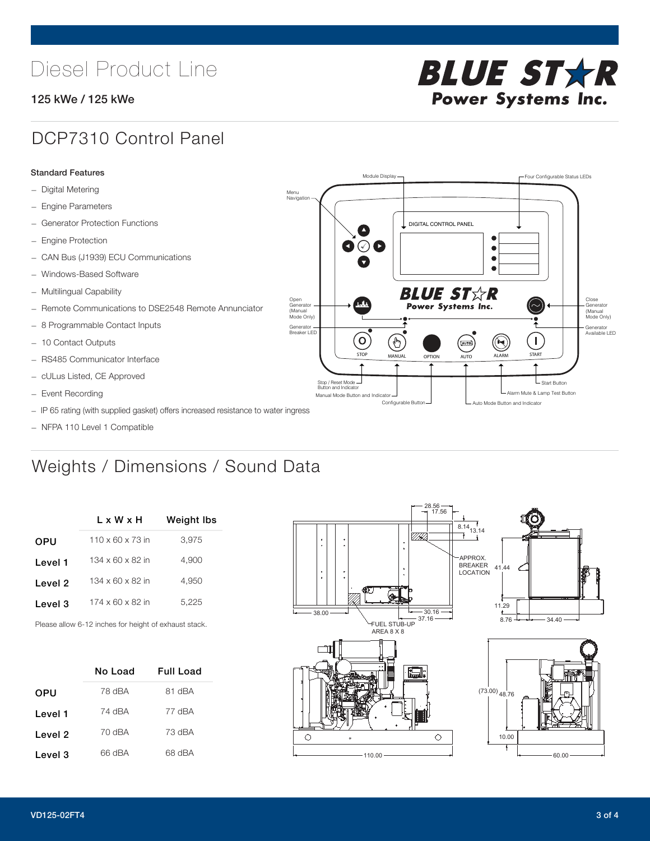## Diesel Product Line

#### 125 kWe / 125 kWe



### DCP7310 Control Panel

#### Standard Features

- Digital Metering
- Engine Parameters
- Generator Protection Functions
- Engine Protection
- CAN Bus (J1939) ECU Communications
- Windows-Based Software
- Multilingual Capability
- Remote Communications to DSE2548 Remote Annunciator
- 8 Programmable Contact Inputs
- 10 Contact Outputs
- RS485 Communicator Interface
- cULus Listed, CE Approved
- Event Recording
- IP 65 rating (with supplied gasket) offers increased resistance to water ingress
- NFPA 110 Level 1 Compatible

## Weights / Dimensions / Sound Data

|         | L x W x H                    | <b>Weight Ibs</b> |  |  |
|---------|------------------------------|-------------------|--|--|
| OPU     | $110 \times 60 \times 73$ in | 3.975             |  |  |
| Level 1 | $134 \times 60 \times 82$ in | 4,900             |  |  |
| Level 2 | $134 \times 60 \times 82$ in | 4.950             |  |  |
| Level 3 | $174 \times 60 \times 82$ in | 5.225             |  |  |
|         |                              |                   |  |  |

Please allow 6-12 inches for height of exhaust stack.

|         | No Load | <b>Full Load</b> |
|---------|---------|------------------|
| OPU     | 78 dBA  | 81 dBA           |
| Level 1 | 74 dBA  | 77 dBA           |
| Level 2 | 70 dBA  | 73 dBA           |
| Level 3 | 66 dBA  | 68 dBA           |



STOP MANUAL OPTION AUTO ALARM START

[AUTO]

**BLUE STAR** Power Systems Inc.

Manual Mode Button and Indicator Sultane Mute & Lamp Test Button Mute & Lamp Test Button Mute & Lamp Test Button Configurable Button -  $\Box$  Auto Mode Button and Indicator

DIGITAL CONTROL PANEL

Module Display  $\Box$ 

 $\bullet$  $\bullet$  $\bullet$ 

 $\circledcirc$ 

Menu Navigation

Open Generator (Manual Mode Only)

Generator Breaker LED

Stop / Reset Mode Button and Indicator

 $\bullet$  $\bullet$   $\circ$   $\bullet$ 

 $\sigma$ 

՟Պ

Close Generator (Manual Mode Only)

Generator Available LED

L Start Button

 $\blacksquare$